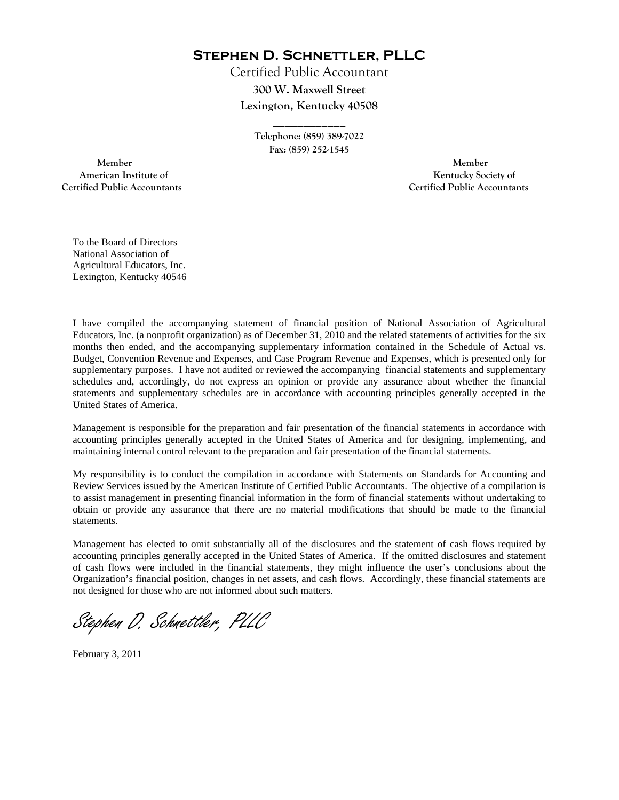**Stephen D. Schnettler, PLLC**

Certified Public Accountant **300 W. Maxwell Street Lexington, Kentucky 40508** 

> **Telephone: (859) 389-7022 Fax: (859) 252-1545**

**\_\_\_\_\_\_\_\_\_\_\_\_** 

 **Member Member Certified Public Accountants Certified Public Accountants** 

American Institute of **Kentucky Society of American Institute of** 

To the Board of Directors National Association of Agricultural Educators, Inc. Lexington, Kentucky 40546

I have compiled the accompanying statement of financial position of National Association of Agricultural Educators, Inc. (a nonprofit organization) as of December 31, 2010 and the related statements of activities for the six months then ended, and the accompanying supplementary information contained in the Schedule of Actual vs. Budget, Convention Revenue and Expenses, and Case Program Revenue and Expenses, which is presented only for supplementary purposes. I have not audited or reviewed the accompanying financial statements and supplementary schedules and, accordingly, do not express an opinion or provide any assurance about whether the financial statements and supplementary schedules are in accordance with accounting principles generally accepted in the United States of America.

Management is responsible for the preparation and fair presentation of the financial statements in accordance with accounting principles generally accepted in the United States of America and for designing, implementing, and maintaining internal control relevant to the preparation and fair presentation of the financial statements.

My responsibility is to conduct the compilation in accordance with Statements on Standards for Accounting and Review Services issued by the American Institute of Certified Public Accountants. The objective of a compilation is to assist management in presenting financial information in the form of financial statements without undertaking to obtain or provide any assurance that there are no material modifications that should be made to the financial statements.

Management has elected to omit substantially all of the disclosures and the statement of cash flows required by accounting principles generally accepted in the United States of America. If the omitted disclosures and statement of cash flows were included in the financial statements, they might influence the user's conclusions about the Organization's financial position, changes in net assets, and cash flows. Accordingly, these financial statements are not designed for those who are not informed about such matters.

Stephen D. Schnettler, PLLC

February 3, 2011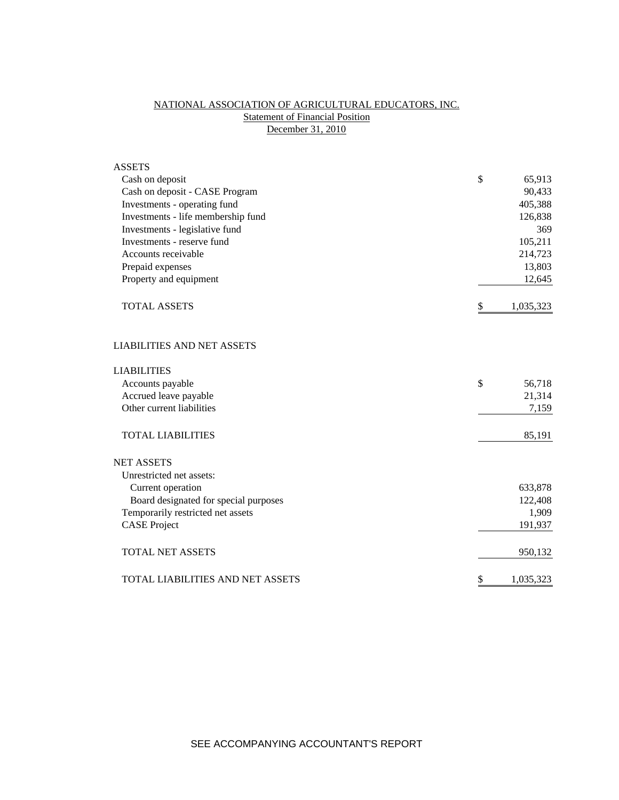## NATIONAL ASSOCIATION OF AGRICULTURAL EDUCATORS, INC. **Statement of Financial Position** December 31, 2010

| <b>ASSETS</b>                         |                 |
|---------------------------------------|-----------------|
| Cash on deposit                       | \$<br>65,913    |
| Cash on deposit - CASE Program        | 90,433          |
| Investments - operating fund          | 405,388         |
| Investments - life membership fund    | 126,838         |
| Investments - legislative fund        | 369             |
| Investments - reserve fund            | 105,211         |
| Accounts receivable                   | 214,723         |
| Prepaid expenses                      | 13,803          |
| Property and equipment                | 12,645          |
| <b>TOTAL ASSETS</b>                   | \$<br>1,035,323 |
| <b>LIABILITIES AND NET ASSETS</b>     |                 |
| <b>LIABILITIES</b>                    |                 |
| Accounts payable                      | \$<br>56,718    |
| Accrued leave payable                 | 21,314          |
| Other current liabilities             | 7,159           |
| <b>TOTAL LIABILITIES</b>              | 85,191          |
| <b>NET ASSETS</b>                     |                 |
| Unrestricted net assets:              |                 |
| Current operation                     | 633,878         |
| Board designated for special purposes | 122,408         |
| Temporarily restricted net assets     | 1,909           |
| <b>CASE Project</b>                   | 191,937         |
| <b>TOTAL NET ASSETS</b>               | 950,132         |
| TOTAL LIABILITIES AND NET ASSETS      | \$<br>1,035,323 |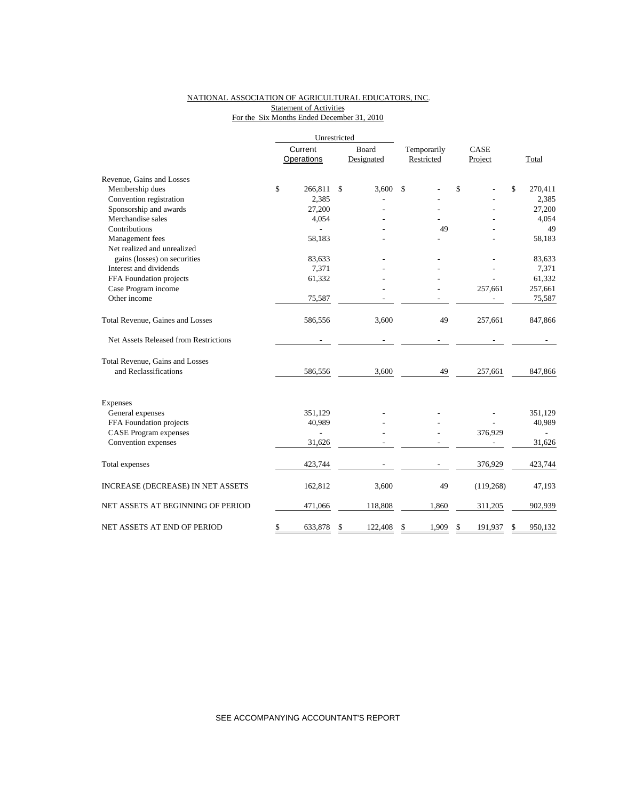### NATIONAL ASSOCIATION OF AGRICULTURAL EDUCATORS, INC. **Statement of Activities** For the Six Months Ended December 31, 2010

|                                       |         | Unrestricted   |               |             |      |            |              |         |
|---------------------------------------|---------|----------------|---------------|-------------|------|------------|--------------|---------|
|                                       | Current |                | Board         | Temporarily | CASE |            |              |         |
|                                       |         | Operations     | Designated    | Restricted  |      | Project    |              | Total   |
| Revenue, Gains and Losses             |         |                |               |             |      |            |              |         |
| Membership dues                       | \$      | 266,811        | \$<br>3.600   | \$          | \$   |            | $\mathbb{S}$ | 270,411 |
| Convention registration               |         | 2,385          |               |             |      |            |              | 2,385   |
| Sponsorship and awards                |         | 27,200         |               |             |      |            |              | 27,200  |
| Merchandise sales                     |         | 4,054          |               |             |      |            |              | 4,054   |
| Contributions                         |         |                |               | 49          |      |            |              | 49      |
| Management fees                       |         | 58,183         |               |             |      |            |              | 58,183  |
| Net realized and unrealized           |         |                |               |             |      |            |              |         |
| gains (losses) on securities          |         | 83,633         |               |             |      |            |              | 83,633  |
| Interest and dividends                |         | 7,371          |               |             |      |            |              | 7,371   |
| FFA Foundation projects               |         | 61,332         |               |             |      |            |              | 61,332  |
| Case Program income                   |         |                |               |             |      | 257,661    |              | 257,661 |
| Other income                          |         | 75,587         |               |             |      |            |              | 75,587  |
| Total Revenue, Gaines and Losses      |         | 586,556        | 3,600         | 49          |      | 257,661    |              | 847,866 |
| Net Assets Released from Restrictions |         |                |               |             |      |            |              |         |
| Total Revenue, Gains and Losses       |         |                |               |             |      |            |              |         |
| and Reclassifications                 |         | 586,556        | 3,600         | 49          |      | 257,661    |              | 847,866 |
| Expenses                              |         |                |               |             |      |            |              |         |
| General expenses                      |         | 351,129        |               |             |      |            |              | 351,129 |
| FFA Foundation projects               |         | 40,989         |               |             |      |            |              | 40,989  |
| <b>CASE Program expenses</b>          |         | $\overline{a}$ |               |             |      | 376,929    |              |         |
| Convention expenses                   |         | 31,626         |               |             |      |            |              | 31,626  |
|                                       |         |                |               |             |      |            |              |         |
| Total expenses                        |         | 423,744        |               |             |      | 376,929    |              | 423,744 |
| INCREASE (DECREASE) IN NET ASSETS     |         | 162,812        | 3,600         | 49          |      | (119, 268) |              | 47,193  |
| NET ASSETS AT BEGINNING OF PERIOD     |         | 471,066        | 118,808       | 1,860       |      | 311,205    |              | 902,939 |
| NET ASSETS AT END OF PERIOD           | \$      | 633,878        | \$<br>122,408 | \$<br>1,909 | \$   | 191,937    | \$           | 950.132 |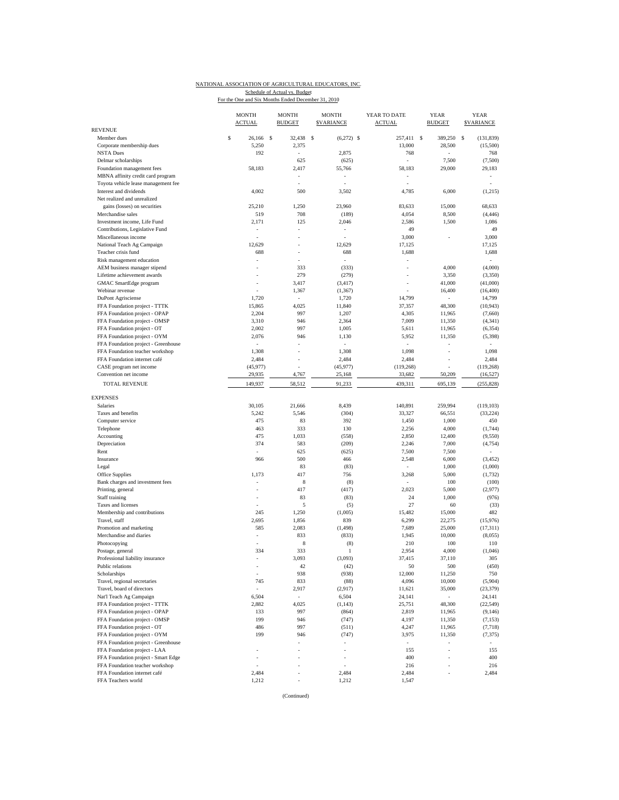### NATIONAL ASSOCIATION OF AGRICULTURAL EDUCATORS, INC. Schedule of Actual vs. Budget<br>For the One and Six Months Ended December 31, 2010

| <b>REVENUE</b><br>\$<br>32,438 \$<br>257,411 \$<br>389,250<br>S<br>(131, 839)<br>Member dues<br>26.166 S<br>$(6,272)$ \$<br>5,250<br>13,000<br>Corporate membership dues<br>2,375<br>28,500<br><b>NSTA Dues</b><br>192<br>2,875<br>768<br>÷,<br>Delmar scholarships<br>625<br>(625)<br>7,500<br>Foundation management fees<br>2,417<br>55,766<br>58,183<br>29,000<br>58,183<br>MBNA affinity credit card program<br>Toyota vehicle lease management fee<br>÷,<br>÷,<br>÷,<br>Interest and dividends<br>4,002<br>4,785<br>500<br>3,502<br>6,000<br>Net realized and unrealized<br>gains (losses) on securities<br>25,210<br>1,250<br>23,960<br>83,633<br>15,000<br>4,054<br>Merchandise sales<br>519<br>708<br>(189)<br>8,500<br>Investment income, Life Fund<br>2,171<br>125<br>2,046<br>2,586<br>1,500<br>Contributions, Legislative Fund<br>49<br>ä,<br>$\sim$<br>$\qquad \qquad \blacksquare$<br>Miscellaneous income<br>3,000<br>National Teach Ag Campaign<br>12,629<br>12,629<br>17,125<br>Teacher crisis fund<br>688<br>688<br>1,688<br>Risk management education<br>ä,<br>4,000<br>AEM business manager stipend<br>333<br>(333)<br>$\sim$<br>279<br>Lifetime achievement awards<br>(279)<br>3,350<br>41,000<br>GMAC SmartEdge program<br>3,417<br>(3, 417)<br>ä,<br>$\overline{\phantom{a}}$<br>Webinar revenue<br>1,367<br>16,400<br>(1, 367)<br>DuPont Agrisciense<br>1,720<br>1,720<br>14,799<br>$\sim$<br>FFA Foundation project - TTTK<br>15,865<br>4,025<br>11,840<br>37,357<br>48,300<br>2,204<br>997<br>FFA Foundation project - OPAP<br>1,207<br>4,305<br>11,965<br>FFA Foundation project - OMSP<br>3,310<br>946<br>2,364<br>7,009<br>11,350<br>2,002<br>997<br>1,005<br>FFA Foundation project - OT<br>5,611<br>11,965<br>5,952<br>FFA Foundation project - OYM<br>2,076<br>946<br>1,130<br>11,350<br>FFA Foundation project - Greenhouse<br>$\sim$<br>÷,<br>$\sim$<br>$\sim$<br>$\sim$<br>1,098<br>FFA Foundation teacher workshop<br>1,308<br>1,308<br>÷,<br>FFA Foundation internet café<br>2,484<br>2,484<br>2,484<br>CASE program net income<br>(45, 977)<br>(45, 977)<br>(119, 268)<br>29,935<br>25,168<br>33,682<br>50,209<br>Convention net income<br>4,767<br><b>TOTAL REVENUE</b><br>149,937<br>91,233<br>439,311<br>695,139<br>58,512<br><b>EXPENSES</b><br><b>Salaries</b><br>30,105<br>21,666<br>8,439<br>140,891<br>259,994<br>Taxes and benefits<br>5,242<br>5,546<br>(304)<br>33,327<br>66,551<br>Computer service<br>475<br>83<br>392<br>1,450<br>1,000<br>333<br>130<br>Telephone<br>463<br>2,256<br>4,000<br>475<br>Accounting<br>1,033<br>2,850<br>12,400<br>(558)<br>Depreciation<br>374<br>583<br>(209)<br>2,246<br>7,000<br>Rent<br>625<br>(625)<br>7,500<br>7,500<br>500<br>Insurance<br>966<br>466<br>2,548<br>6,000<br>Legal<br>83<br>(83)<br>1,000<br>$\sim$<br>Office Supplies<br>417<br>756<br>5,000<br>1,173<br>3,268<br>8<br>Bank charges and investment fees<br>100<br>(8)<br>417<br>(417)<br>2,023<br>Printing, general<br>5,000<br>÷,<br>Staff training<br>83<br>24<br>1,000<br>(83)<br>5<br>27<br>Taxes and licenses<br>(5)<br>60<br>Membership and contributions<br>15,482<br>245<br>1,250<br>(1,005)<br>15,000<br>Travel, staff<br>2,695<br>1,856<br>839<br>6,299<br>22,275<br>Promotion and marketing<br>585<br>2,083<br>(1, 498)<br>7,689<br>25,000<br>Merchandise and diaries<br>833<br>(833)<br>1,945<br>10,000<br>÷,<br>8<br>(8)<br>210<br>100<br>Photocopying<br>333<br>334<br>$\mathbf{1}$<br>2,954<br>4,000<br>Postage, general<br>Professional liability insurance<br>3,093<br>(3,093)<br>37,415<br>37,110<br>Public relations<br>42<br>(42)<br>50<br>500<br>938<br>Scholarships<br>(938)<br>12,000<br>11,250<br>Travel, regional secretaries<br>745<br>833<br>(88)<br>4,096<br>10,000<br>Travel, board of directors<br>2,917<br>(2,917)<br>11,621<br>35,000<br>Nat'l Teach Ag Campaign<br>6,504<br>6,504<br>24,141<br>FFA Foundation project - TTTK<br>2,882<br>4,025<br>(1, 143)<br>25,751<br>48,300<br>FFA Foundation project - OPAP<br>997<br>(864)<br>2,819<br>133<br>11,965<br>FFA Foundation project - OMSP<br>199<br>946<br>(747)<br>4,197<br>11,350<br>FFA Foundation project - OT<br>486<br>997<br>(511)<br>4,247<br>11,965<br>FFA Foundation project - OYM<br>199<br>946<br>(747)<br>3,975<br>11,350<br>FFA Foundation project - Greenhouse<br>$\overline{\phantom{a}}$<br>FFA Foundation project - LAA<br>155<br>$\sim$<br>٠<br>ä,<br>÷,<br>FFA Foundation project - Smart Edge<br>400<br>$\sim$<br>÷,<br>FFA Foundation teacher workshop<br>216<br>÷,<br>÷,<br>FFA Foundation internet café<br>2,484<br>2,484<br>2,484<br>FFA Teachers world<br>1,212<br>1,547<br>1,212<br>í, | <b>MONTH</b><br><b>ACTUAL</b> | <b>MONTH</b><br><b>BUDGET</b> | <b>MONTH</b><br><b>SVARIANCE</b> | YEAR TO DATE<br><b>ACTUAL</b> | <b>YEAR</b><br><b>BUDGET</b> | <b>YEAR</b><br><b><i>SVARIANCE</i></b> |
|-------------------------------------------------------------------------------------------------------------------------------------------------------------------------------------------------------------------------------------------------------------------------------------------------------------------------------------------------------------------------------------------------------------------------------------------------------------------------------------------------------------------------------------------------------------------------------------------------------------------------------------------------------------------------------------------------------------------------------------------------------------------------------------------------------------------------------------------------------------------------------------------------------------------------------------------------------------------------------------------------------------------------------------------------------------------------------------------------------------------------------------------------------------------------------------------------------------------------------------------------------------------------------------------------------------------------------------------------------------------------------------------------------------------------------------------------------------------------------------------------------------------------------------------------------------------------------------------------------------------------------------------------------------------------------------------------------------------------------------------------------------------------------------------------------------------------------------------------------------------------------------------------------------------------------------------------------------------------------------------------------------------------------------------------------------------------------------------------------------------------------------------------------------------------------------------------------------------------------------------------------------------------------------------------------------------------------------------------------------------------------------------------------------------------------------------------------------------------------------------------------------------------------------------------------------------------------------------------------------------------------------------------------------------------------------------------------------------------------------------------------------------------------------------------------------------------------------------------------------------------------------------------------------------------------------------------------------------------------------------------------------------------------------------------------------------------------------------------------------------------------------------------------------------------------------------------------------------------------------------------------------------------------------------------------------------------------------------------------------------------------------------------------------------------------------------------------------------------------------------------------------------------------------------------------------------------------------------------------------------------------------------------------------------------------------------------------------------------------------------------------------------------------------------------------------------------------------------------------------------------------------------------------------------------------------------------------------------------------------------------------------------------------------------------------------------------------------------------------------------------------------------------------------------------------------------------------------------------------------------------------------------------------------------------------------------------------------------------------------------------------------------------------------------------------------------------------------------------------------------------------------------------------------------------------------------------------------------------------------------------------------------------------------|-------------------------------|-------------------------------|----------------------------------|-------------------------------|------------------------------|----------------------------------------|
|                                                                                                                                                                                                                                                                                                                                                                                                                                                                                                                                                                                                                                                                                                                                                                                                                                                                                                                                                                                                                                                                                                                                                                                                                                                                                                                                                                                                                                                                                                                                                                                                                                                                                                                                                                                                                                                                                                                                                                                                                                                                                                                                                                                                                                                                                                                                                                                                                                                                                                                                                                                                                                                                                                                                                                                                                                                                                                                                                                                                                                                                                                                                                                                                                                                                                                                                                                                                                                                                                                                                                                                                                                                                                                                                                                                                                                                                                                                                                                                                                                                                                                                                                                                                                                                                                                                                                                                                                                                                                                                                                                                                                                                             |                               |                               |                                  |                               |                              |                                        |
|                                                                                                                                                                                                                                                                                                                                                                                                                                                                                                                                                                                                                                                                                                                                                                                                                                                                                                                                                                                                                                                                                                                                                                                                                                                                                                                                                                                                                                                                                                                                                                                                                                                                                                                                                                                                                                                                                                                                                                                                                                                                                                                                                                                                                                                                                                                                                                                                                                                                                                                                                                                                                                                                                                                                                                                                                                                                                                                                                                                                                                                                                                                                                                                                                                                                                                                                                                                                                                                                                                                                                                                                                                                                                                                                                                                                                                                                                                                                                                                                                                                                                                                                                                                                                                                                                                                                                                                                                                                                                                                                                                                                                                                             |                               |                               |                                  |                               |                              |                                        |
|                                                                                                                                                                                                                                                                                                                                                                                                                                                                                                                                                                                                                                                                                                                                                                                                                                                                                                                                                                                                                                                                                                                                                                                                                                                                                                                                                                                                                                                                                                                                                                                                                                                                                                                                                                                                                                                                                                                                                                                                                                                                                                                                                                                                                                                                                                                                                                                                                                                                                                                                                                                                                                                                                                                                                                                                                                                                                                                                                                                                                                                                                                                                                                                                                                                                                                                                                                                                                                                                                                                                                                                                                                                                                                                                                                                                                                                                                                                                                                                                                                                                                                                                                                                                                                                                                                                                                                                                                                                                                                                                                                                                                                                             |                               |                               |                                  |                               |                              | (15,500)                               |
|                                                                                                                                                                                                                                                                                                                                                                                                                                                                                                                                                                                                                                                                                                                                                                                                                                                                                                                                                                                                                                                                                                                                                                                                                                                                                                                                                                                                                                                                                                                                                                                                                                                                                                                                                                                                                                                                                                                                                                                                                                                                                                                                                                                                                                                                                                                                                                                                                                                                                                                                                                                                                                                                                                                                                                                                                                                                                                                                                                                                                                                                                                                                                                                                                                                                                                                                                                                                                                                                                                                                                                                                                                                                                                                                                                                                                                                                                                                                                                                                                                                                                                                                                                                                                                                                                                                                                                                                                                                                                                                                                                                                                                                             |                               |                               |                                  |                               |                              | 768                                    |
|                                                                                                                                                                                                                                                                                                                                                                                                                                                                                                                                                                                                                                                                                                                                                                                                                                                                                                                                                                                                                                                                                                                                                                                                                                                                                                                                                                                                                                                                                                                                                                                                                                                                                                                                                                                                                                                                                                                                                                                                                                                                                                                                                                                                                                                                                                                                                                                                                                                                                                                                                                                                                                                                                                                                                                                                                                                                                                                                                                                                                                                                                                                                                                                                                                                                                                                                                                                                                                                                                                                                                                                                                                                                                                                                                                                                                                                                                                                                                                                                                                                                                                                                                                                                                                                                                                                                                                                                                                                                                                                                                                                                                                                             |                               |                               |                                  |                               |                              | (7,500)                                |
|                                                                                                                                                                                                                                                                                                                                                                                                                                                                                                                                                                                                                                                                                                                                                                                                                                                                                                                                                                                                                                                                                                                                                                                                                                                                                                                                                                                                                                                                                                                                                                                                                                                                                                                                                                                                                                                                                                                                                                                                                                                                                                                                                                                                                                                                                                                                                                                                                                                                                                                                                                                                                                                                                                                                                                                                                                                                                                                                                                                                                                                                                                                                                                                                                                                                                                                                                                                                                                                                                                                                                                                                                                                                                                                                                                                                                                                                                                                                                                                                                                                                                                                                                                                                                                                                                                                                                                                                                                                                                                                                                                                                                                                             |                               |                               |                                  |                               |                              | 29,183                                 |
|                                                                                                                                                                                                                                                                                                                                                                                                                                                                                                                                                                                                                                                                                                                                                                                                                                                                                                                                                                                                                                                                                                                                                                                                                                                                                                                                                                                                                                                                                                                                                                                                                                                                                                                                                                                                                                                                                                                                                                                                                                                                                                                                                                                                                                                                                                                                                                                                                                                                                                                                                                                                                                                                                                                                                                                                                                                                                                                                                                                                                                                                                                                                                                                                                                                                                                                                                                                                                                                                                                                                                                                                                                                                                                                                                                                                                                                                                                                                                                                                                                                                                                                                                                                                                                                                                                                                                                                                                                                                                                                                                                                                                                                             |                               |                               |                                  |                               |                              |                                        |
|                                                                                                                                                                                                                                                                                                                                                                                                                                                                                                                                                                                                                                                                                                                                                                                                                                                                                                                                                                                                                                                                                                                                                                                                                                                                                                                                                                                                                                                                                                                                                                                                                                                                                                                                                                                                                                                                                                                                                                                                                                                                                                                                                                                                                                                                                                                                                                                                                                                                                                                                                                                                                                                                                                                                                                                                                                                                                                                                                                                                                                                                                                                                                                                                                                                                                                                                                                                                                                                                                                                                                                                                                                                                                                                                                                                                                                                                                                                                                                                                                                                                                                                                                                                                                                                                                                                                                                                                                                                                                                                                                                                                                                                             |                               |                               |                                  |                               |                              | ÷.                                     |
|                                                                                                                                                                                                                                                                                                                                                                                                                                                                                                                                                                                                                                                                                                                                                                                                                                                                                                                                                                                                                                                                                                                                                                                                                                                                                                                                                                                                                                                                                                                                                                                                                                                                                                                                                                                                                                                                                                                                                                                                                                                                                                                                                                                                                                                                                                                                                                                                                                                                                                                                                                                                                                                                                                                                                                                                                                                                                                                                                                                                                                                                                                                                                                                                                                                                                                                                                                                                                                                                                                                                                                                                                                                                                                                                                                                                                                                                                                                                                                                                                                                                                                                                                                                                                                                                                                                                                                                                                                                                                                                                                                                                                                                             |                               |                               |                                  |                               |                              | (1,215)                                |
|                                                                                                                                                                                                                                                                                                                                                                                                                                                                                                                                                                                                                                                                                                                                                                                                                                                                                                                                                                                                                                                                                                                                                                                                                                                                                                                                                                                                                                                                                                                                                                                                                                                                                                                                                                                                                                                                                                                                                                                                                                                                                                                                                                                                                                                                                                                                                                                                                                                                                                                                                                                                                                                                                                                                                                                                                                                                                                                                                                                                                                                                                                                                                                                                                                                                                                                                                                                                                                                                                                                                                                                                                                                                                                                                                                                                                                                                                                                                                                                                                                                                                                                                                                                                                                                                                                                                                                                                                                                                                                                                                                                                                                                             |                               |                               |                                  |                               |                              |                                        |
|                                                                                                                                                                                                                                                                                                                                                                                                                                                                                                                                                                                                                                                                                                                                                                                                                                                                                                                                                                                                                                                                                                                                                                                                                                                                                                                                                                                                                                                                                                                                                                                                                                                                                                                                                                                                                                                                                                                                                                                                                                                                                                                                                                                                                                                                                                                                                                                                                                                                                                                                                                                                                                                                                                                                                                                                                                                                                                                                                                                                                                                                                                                                                                                                                                                                                                                                                                                                                                                                                                                                                                                                                                                                                                                                                                                                                                                                                                                                                                                                                                                                                                                                                                                                                                                                                                                                                                                                                                                                                                                                                                                                                                                             |                               |                               |                                  |                               |                              | 68,633                                 |
|                                                                                                                                                                                                                                                                                                                                                                                                                                                                                                                                                                                                                                                                                                                                                                                                                                                                                                                                                                                                                                                                                                                                                                                                                                                                                                                                                                                                                                                                                                                                                                                                                                                                                                                                                                                                                                                                                                                                                                                                                                                                                                                                                                                                                                                                                                                                                                                                                                                                                                                                                                                                                                                                                                                                                                                                                                                                                                                                                                                                                                                                                                                                                                                                                                                                                                                                                                                                                                                                                                                                                                                                                                                                                                                                                                                                                                                                                                                                                                                                                                                                                                                                                                                                                                                                                                                                                                                                                                                                                                                                                                                                                                                             |                               |                               |                                  |                               |                              | (4, 446)                               |
|                                                                                                                                                                                                                                                                                                                                                                                                                                                                                                                                                                                                                                                                                                                                                                                                                                                                                                                                                                                                                                                                                                                                                                                                                                                                                                                                                                                                                                                                                                                                                                                                                                                                                                                                                                                                                                                                                                                                                                                                                                                                                                                                                                                                                                                                                                                                                                                                                                                                                                                                                                                                                                                                                                                                                                                                                                                                                                                                                                                                                                                                                                                                                                                                                                                                                                                                                                                                                                                                                                                                                                                                                                                                                                                                                                                                                                                                                                                                                                                                                                                                                                                                                                                                                                                                                                                                                                                                                                                                                                                                                                                                                                                             |                               |                               |                                  |                               |                              | 1,086                                  |
|                                                                                                                                                                                                                                                                                                                                                                                                                                                                                                                                                                                                                                                                                                                                                                                                                                                                                                                                                                                                                                                                                                                                                                                                                                                                                                                                                                                                                                                                                                                                                                                                                                                                                                                                                                                                                                                                                                                                                                                                                                                                                                                                                                                                                                                                                                                                                                                                                                                                                                                                                                                                                                                                                                                                                                                                                                                                                                                                                                                                                                                                                                                                                                                                                                                                                                                                                                                                                                                                                                                                                                                                                                                                                                                                                                                                                                                                                                                                                                                                                                                                                                                                                                                                                                                                                                                                                                                                                                                                                                                                                                                                                                                             |                               |                               |                                  |                               |                              | 49                                     |
|                                                                                                                                                                                                                                                                                                                                                                                                                                                                                                                                                                                                                                                                                                                                                                                                                                                                                                                                                                                                                                                                                                                                                                                                                                                                                                                                                                                                                                                                                                                                                                                                                                                                                                                                                                                                                                                                                                                                                                                                                                                                                                                                                                                                                                                                                                                                                                                                                                                                                                                                                                                                                                                                                                                                                                                                                                                                                                                                                                                                                                                                                                                                                                                                                                                                                                                                                                                                                                                                                                                                                                                                                                                                                                                                                                                                                                                                                                                                                                                                                                                                                                                                                                                                                                                                                                                                                                                                                                                                                                                                                                                                                                                             |                               |                               |                                  |                               |                              | 3,000                                  |
|                                                                                                                                                                                                                                                                                                                                                                                                                                                                                                                                                                                                                                                                                                                                                                                                                                                                                                                                                                                                                                                                                                                                                                                                                                                                                                                                                                                                                                                                                                                                                                                                                                                                                                                                                                                                                                                                                                                                                                                                                                                                                                                                                                                                                                                                                                                                                                                                                                                                                                                                                                                                                                                                                                                                                                                                                                                                                                                                                                                                                                                                                                                                                                                                                                                                                                                                                                                                                                                                                                                                                                                                                                                                                                                                                                                                                                                                                                                                                                                                                                                                                                                                                                                                                                                                                                                                                                                                                                                                                                                                                                                                                                                             |                               |                               |                                  |                               |                              | 17,125                                 |
|                                                                                                                                                                                                                                                                                                                                                                                                                                                                                                                                                                                                                                                                                                                                                                                                                                                                                                                                                                                                                                                                                                                                                                                                                                                                                                                                                                                                                                                                                                                                                                                                                                                                                                                                                                                                                                                                                                                                                                                                                                                                                                                                                                                                                                                                                                                                                                                                                                                                                                                                                                                                                                                                                                                                                                                                                                                                                                                                                                                                                                                                                                                                                                                                                                                                                                                                                                                                                                                                                                                                                                                                                                                                                                                                                                                                                                                                                                                                                                                                                                                                                                                                                                                                                                                                                                                                                                                                                                                                                                                                                                                                                                                             |                               |                               |                                  |                               |                              | 1,688                                  |
|                                                                                                                                                                                                                                                                                                                                                                                                                                                                                                                                                                                                                                                                                                                                                                                                                                                                                                                                                                                                                                                                                                                                                                                                                                                                                                                                                                                                                                                                                                                                                                                                                                                                                                                                                                                                                                                                                                                                                                                                                                                                                                                                                                                                                                                                                                                                                                                                                                                                                                                                                                                                                                                                                                                                                                                                                                                                                                                                                                                                                                                                                                                                                                                                                                                                                                                                                                                                                                                                                                                                                                                                                                                                                                                                                                                                                                                                                                                                                                                                                                                                                                                                                                                                                                                                                                                                                                                                                                                                                                                                                                                                                                                             |                               |                               |                                  |                               |                              | ÷                                      |
|                                                                                                                                                                                                                                                                                                                                                                                                                                                                                                                                                                                                                                                                                                                                                                                                                                                                                                                                                                                                                                                                                                                                                                                                                                                                                                                                                                                                                                                                                                                                                                                                                                                                                                                                                                                                                                                                                                                                                                                                                                                                                                                                                                                                                                                                                                                                                                                                                                                                                                                                                                                                                                                                                                                                                                                                                                                                                                                                                                                                                                                                                                                                                                                                                                                                                                                                                                                                                                                                                                                                                                                                                                                                                                                                                                                                                                                                                                                                                                                                                                                                                                                                                                                                                                                                                                                                                                                                                                                                                                                                                                                                                                                             |                               |                               |                                  |                               |                              | (4,000)                                |
|                                                                                                                                                                                                                                                                                                                                                                                                                                                                                                                                                                                                                                                                                                                                                                                                                                                                                                                                                                                                                                                                                                                                                                                                                                                                                                                                                                                                                                                                                                                                                                                                                                                                                                                                                                                                                                                                                                                                                                                                                                                                                                                                                                                                                                                                                                                                                                                                                                                                                                                                                                                                                                                                                                                                                                                                                                                                                                                                                                                                                                                                                                                                                                                                                                                                                                                                                                                                                                                                                                                                                                                                                                                                                                                                                                                                                                                                                                                                                                                                                                                                                                                                                                                                                                                                                                                                                                                                                                                                                                                                                                                                                                                             |                               |                               |                                  |                               |                              | (3,350)                                |
|                                                                                                                                                                                                                                                                                                                                                                                                                                                                                                                                                                                                                                                                                                                                                                                                                                                                                                                                                                                                                                                                                                                                                                                                                                                                                                                                                                                                                                                                                                                                                                                                                                                                                                                                                                                                                                                                                                                                                                                                                                                                                                                                                                                                                                                                                                                                                                                                                                                                                                                                                                                                                                                                                                                                                                                                                                                                                                                                                                                                                                                                                                                                                                                                                                                                                                                                                                                                                                                                                                                                                                                                                                                                                                                                                                                                                                                                                                                                                                                                                                                                                                                                                                                                                                                                                                                                                                                                                                                                                                                                                                                                                                                             |                               |                               |                                  |                               |                              | (41,000)                               |
|                                                                                                                                                                                                                                                                                                                                                                                                                                                                                                                                                                                                                                                                                                                                                                                                                                                                                                                                                                                                                                                                                                                                                                                                                                                                                                                                                                                                                                                                                                                                                                                                                                                                                                                                                                                                                                                                                                                                                                                                                                                                                                                                                                                                                                                                                                                                                                                                                                                                                                                                                                                                                                                                                                                                                                                                                                                                                                                                                                                                                                                                                                                                                                                                                                                                                                                                                                                                                                                                                                                                                                                                                                                                                                                                                                                                                                                                                                                                                                                                                                                                                                                                                                                                                                                                                                                                                                                                                                                                                                                                                                                                                                                             |                               |                               |                                  |                               |                              | (16, 400)                              |
|                                                                                                                                                                                                                                                                                                                                                                                                                                                                                                                                                                                                                                                                                                                                                                                                                                                                                                                                                                                                                                                                                                                                                                                                                                                                                                                                                                                                                                                                                                                                                                                                                                                                                                                                                                                                                                                                                                                                                                                                                                                                                                                                                                                                                                                                                                                                                                                                                                                                                                                                                                                                                                                                                                                                                                                                                                                                                                                                                                                                                                                                                                                                                                                                                                                                                                                                                                                                                                                                                                                                                                                                                                                                                                                                                                                                                                                                                                                                                                                                                                                                                                                                                                                                                                                                                                                                                                                                                                                                                                                                                                                                                                                             |                               |                               |                                  |                               |                              |                                        |
|                                                                                                                                                                                                                                                                                                                                                                                                                                                                                                                                                                                                                                                                                                                                                                                                                                                                                                                                                                                                                                                                                                                                                                                                                                                                                                                                                                                                                                                                                                                                                                                                                                                                                                                                                                                                                                                                                                                                                                                                                                                                                                                                                                                                                                                                                                                                                                                                                                                                                                                                                                                                                                                                                                                                                                                                                                                                                                                                                                                                                                                                                                                                                                                                                                                                                                                                                                                                                                                                                                                                                                                                                                                                                                                                                                                                                                                                                                                                                                                                                                                                                                                                                                                                                                                                                                                                                                                                                                                                                                                                                                                                                                                             |                               |                               |                                  |                               |                              | 14,799                                 |
|                                                                                                                                                                                                                                                                                                                                                                                                                                                                                                                                                                                                                                                                                                                                                                                                                                                                                                                                                                                                                                                                                                                                                                                                                                                                                                                                                                                                                                                                                                                                                                                                                                                                                                                                                                                                                                                                                                                                                                                                                                                                                                                                                                                                                                                                                                                                                                                                                                                                                                                                                                                                                                                                                                                                                                                                                                                                                                                                                                                                                                                                                                                                                                                                                                                                                                                                                                                                                                                                                                                                                                                                                                                                                                                                                                                                                                                                                                                                                                                                                                                                                                                                                                                                                                                                                                                                                                                                                                                                                                                                                                                                                                                             |                               |                               |                                  |                               |                              | (10, 943)                              |
|                                                                                                                                                                                                                                                                                                                                                                                                                                                                                                                                                                                                                                                                                                                                                                                                                                                                                                                                                                                                                                                                                                                                                                                                                                                                                                                                                                                                                                                                                                                                                                                                                                                                                                                                                                                                                                                                                                                                                                                                                                                                                                                                                                                                                                                                                                                                                                                                                                                                                                                                                                                                                                                                                                                                                                                                                                                                                                                                                                                                                                                                                                                                                                                                                                                                                                                                                                                                                                                                                                                                                                                                                                                                                                                                                                                                                                                                                                                                                                                                                                                                                                                                                                                                                                                                                                                                                                                                                                                                                                                                                                                                                                                             |                               |                               |                                  |                               |                              | (7,660)                                |
|                                                                                                                                                                                                                                                                                                                                                                                                                                                                                                                                                                                                                                                                                                                                                                                                                                                                                                                                                                                                                                                                                                                                                                                                                                                                                                                                                                                                                                                                                                                                                                                                                                                                                                                                                                                                                                                                                                                                                                                                                                                                                                                                                                                                                                                                                                                                                                                                                                                                                                                                                                                                                                                                                                                                                                                                                                                                                                                                                                                                                                                                                                                                                                                                                                                                                                                                                                                                                                                                                                                                                                                                                                                                                                                                                                                                                                                                                                                                                                                                                                                                                                                                                                                                                                                                                                                                                                                                                                                                                                                                                                                                                                                             |                               |                               |                                  |                               |                              | (4, 341)                               |
|                                                                                                                                                                                                                                                                                                                                                                                                                                                                                                                                                                                                                                                                                                                                                                                                                                                                                                                                                                                                                                                                                                                                                                                                                                                                                                                                                                                                                                                                                                                                                                                                                                                                                                                                                                                                                                                                                                                                                                                                                                                                                                                                                                                                                                                                                                                                                                                                                                                                                                                                                                                                                                                                                                                                                                                                                                                                                                                                                                                                                                                                                                                                                                                                                                                                                                                                                                                                                                                                                                                                                                                                                                                                                                                                                                                                                                                                                                                                                                                                                                                                                                                                                                                                                                                                                                                                                                                                                                                                                                                                                                                                                                                             |                               |                               |                                  |                               |                              | (6, 354)                               |
|                                                                                                                                                                                                                                                                                                                                                                                                                                                                                                                                                                                                                                                                                                                                                                                                                                                                                                                                                                                                                                                                                                                                                                                                                                                                                                                                                                                                                                                                                                                                                                                                                                                                                                                                                                                                                                                                                                                                                                                                                                                                                                                                                                                                                                                                                                                                                                                                                                                                                                                                                                                                                                                                                                                                                                                                                                                                                                                                                                                                                                                                                                                                                                                                                                                                                                                                                                                                                                                                                                                                                                                                                                                                                                                                                                                                                                                                                                                                                                                                                                                                                                                                                                                                                                                                                                                                                                                                                                                                                                                                                                                                                                                             |                               |                               |                                  |                               |                              | (5, 398)                               |
|                                                                                                                                                                                                                                                                                                                                                                                                                                                                                                                                                                                                                                                                                                                                                                                                                                                                                                                                                                                                                                                                                                                                                                                                                                                                                                                                                                                                                                                                                                                                                                                                                                                                                                                                                                                                                                                                                                                                                                                                                                                                                                                                                                                                                                                                                                                                                                                                                                                                                                                                                                                                                                                                                                                                                                                                                                                                                                                                                                                                                                                                                                                                                                                                                                                                                                                                                                                                                                                                                                                                                                                                                                                                                                                                                                                                                                                                                                                                                                                                                                                                                                                                                                                                                                                                                                                                                                                                                                                                                                                                                                                                                                                             |                               |                               |                                  |                               |                              |                                        |
|                                                                                                                                                                                                                                                                                                                                                                                                                                                                                                                                                                                                                                                                                                                                                                                                                                                                                                                                                                                                                                                                                                                                                                                                                                                                                                                                                                                                                                                                                                                                                                                                                                                                                                                                                                                                                                                                                                                                                                                                                                                                                                                                                                                                                                                                                                                                                                                                                                                                                                                                                                                                                                                                                                                                                                                                                                                                                                                                                                                                                                                                                                                                                                                                                                                                                                                                                                                                                                                                                                                                                                                                                                                                                                                                                                                                                                                                                                                                                                                                                                                                                                                                                                                                                                                                                                                                                                                                                                                                                                                                                                                                                                                             |                               |                               |                                  |                               |                              | 1,098                                  |
|                                                                                                                                                                                                                                                                                                                                                                                                                                                                                                                                                                                                                                                                                                                                                                                                                                                                                                                                                                                                                                                                                                                                                                                                                                                                                                                                                                                                                                                                                                                                                                                                                                                                                                                                                                                                                                                                                                                                                                                                                                                                                                                                                                                                                                                                                                                                                                                                                                                                                                                                                                                                                                                                                                                                                                                                                                                                                                                                                                                                                                                                                                                                                                                                                                                                                                                                                                                                                                                                                                                                                                                                                                                                                                                                                                                                                                                                                                                                                                                                                                                                                                                                                                                                                                                                                                                                                                                                                                                                                                                                                                                                                                                             |                               |                               |                                  |                               |                              | 2,484                                  |
|                                                                                                                                                                                                                                                                                                                                                                                                                                                                                                                                                                                                                                                                                                                                                                                                                                                                                                                                                                                                                                                                                                                                                                                                                                                                                                                                                                                                                                                                                                                                                                                                                                                                                                                                                                                                                                                                                                                                                                                                                                                                                                                                                                                                                                                                                                                                                                                                                                                                                                                                                                                                                                                                                                                                                                                                                                                                                                                                                                                                                                                                                                                                                                                                                                                                                                                                                                                                                                                                                                                                                                                                                                                                                                                                                                                                                                                                                                                                                                                                                                                                                                                                                                                                                                                                                                                                                                                                                                                                                                                                                                                                                                                             |                               |                               |                                  |                               |                              | (119, 268)                             |
|                                                                                                                                                                                                                                                                                                                                                                                                                                                                                                                                                                                                                                                                                                                                                                                                                                                                                                                                                                                                                                                                                                                                                                                                                                                                                                                                                                                                                                                                                                                                                                                                                                                                                                                                                                                                                                                                                                                                                                                                                                                                                                                                                                                                                                                                                                                                                                                                                                                                                                                                                                                                                                                                                                                                                                                                                                                                                                                                                                                                                                                                                                                                                                                                                                                                                                                                                                                                                                                                                                                                                                                                                                                                                                                                                                                                                                                                                                                                                                                                                                                                                                                                                                                                                                                                                                                                                                                                                                                                                                                                                                                                                                                             |                               |                               |                                  |                               |                              | (16, 527)                              |
|                                                                                                                                                                                                                                                                                                                                                                                                                                                                                                                                                                                                                                                                                                                                                                                                                                                                                                                                                                                                                                                                                                                                                                                                                                                                                                                                                                                                                                                                                                                                                                                                                                                                                                                                                                                                                                                                                                                                                                                                                                                                                                                                                                                                                                                                                                                                                                                                                                                                                                                                                                                                                                                                                                                                                                                                                                                                                                                                                                                                                                                                                                                                                                                                                                                                                                                                                                                                                                                                                                                                                                                                                                                                                                                                                                                                                                                                                                                                                                                                                                                                                                                                                                                                                                                                                                                                                                                                                                                                                                                                                                                                                                                             |                               |                               |                                  |                               |                              | (255, 828)                             |
|                                                                                                                                                                                                                                                                                                                                                                                                                                                                                                                                                                                                                                                                                                                                                                                                                                                                                                                                                                                                                                                                                                                                                                                                                                                                                                                                                                                                                                                                                                                                                                                                                                                                                                                                                                                                                                                                                                                                                                                                                                                                                                                                                                                                                                                                                                                                                                                                                                                                                                                                                                                                                                                                                                                                                                                                                                                                                                                                                                                                                                                                                                                                                                                                                                                                                                                                                                                                                                                                                                                                                                                                                                                                                                                                                                                                                                                                                                                                                                                                                                                                                                                                                                                                                                                                                                                                                                                                                                                                                                                                                                                                                                                             |                               |                               |                                  |                               |                              |                                        |
|                                                                                                                                                                                                                                                                                                                                                                                                                                                                                                                                                                                                                                                                                                                                                                                                                                                                                                                                                                                                                                                                                                                                                                                                                                                                                                                                                                                                                                                                                                                                                                                                                                                                                                                                                                                                                                                                                                                                                                                                                                                                                                                                                                                                                                                                                                                                                                                                                                                                                                                                                                                                                                                                                                                                                                                                                                                                                                                                                                                                                                                                                                                                                                                                                                                                                                                                                                                                                                                                                                                                                                                                                                                                                                                                                                                                                                                                                                                                                                                                                                                                                                                                                                                                                                                                                                                                                                                                                                                                                                                                                                                                                                                             |                               |                               |                                  |                               |                              |                                        |
|                                                                                                                                                                                                                                                                                                                                                                                                                                                                                                                                                                                                                                                                                                                                                                                                                                                                                                                                                                                                                                                                                                                                                                                                                                                                                                                                                                                                                                                                                                                                                                                                                                                                                                                                                                                                                                                                                                                                                                                                                                                                                                                                                                                                                                                                                                                                                                                                                                                                                                                                                                                                                                                                                                                                                                                                                                                                                                                                                                                                                                                                                                                                                                                                                                                                                                                                                                                                                                                                                                                                                                                                                                                                                                                                                                                                                                                                                                                                                                                                                                                                                                                                                                                                                                                                                                                                                                                                                                                                                                                                                                                                                                                             |                               |                               |                                  |                               |                              | (119, 103)                             |
|                                                                                                                                                                                                                                                                                                                                                                                                                                                                                                                                                                                                                                                                                                                                                                                                                                                                                                                                                                                                                                                                                                                                                                                                                                                                                                                                                                                                                                                                                                                                                                                                                                                                                                                                                                                                                                                                                                                                                                                                                                                                                                                                                                                                                                                                                                                                                                                                                                                                                                                                                                                                                                                                                                                                                                                                                                                                                                                                                                                                                                                                                                                                                                                                                                                                                                                                                                                                                                                                                                                                                                                                                                                                                                                                                                                                                                                                                                                                                                                                                                                                                                                                                                                                                                                                                                                                                                                                                                                                                                                                                                                                                                                             |                               |                               |                                  |                               |                              | (33, 224)                              |
|                                                                                                                                                                                                                                                                                                                                                                                                                                                                                                                                                                                                                                                                                                                                                                                                                                                                                                                                                                                                                                                                                                                                                                                                                                                                                                                                                                                                                                                                                                                                                                                                                                                                                                                                                                                                                                                                                                                                                                                                                                                                                                                                                                                                                                                                                                                                                                                                                                                                                                                                                                                                                                                                                                                                                                                                                                                                                                                                                                                                                                                                                                                                                                                                                                                                                                                                                                                                                                                                                                                                                                                                                                                                                                                                                                                                                                                                                                                                                                                                                                                                                                                                                                                                                                                                                                                                                                                                                                                                                                                                                                                                                                                             |                               |                               |                                  |                               |                              | 450                                    |
|                                                                                                                                                                                                                                                                                                                                                                                                                                                                                                                                                                                                                                                                                                                                                                                                                                                                                                                                                                                                                                                                                                                                                                                                                                                                                                                                                                                                                                                                                                                                                                                                                                                                                                                                                                                                                                                                                                                                                                                                                                                                                                                                                                                                                                                                                                                                                                                                                                                                                                                                                                                                                                                                                                                                                                                                                                                                                                                                                                                                                                                                                                                                                                                                                                                                                                                                                                                                                                                                                                                                                                                                                                                                                                                                                                                                                                                                                                                                                                                                                                                                                                                                                                                                                                                                                                                                                                                                                                                                                                                                                                                                                                                             |                               |                               |                                  |                               |                              | (1,744)                                |
|                                                                                                                                                                                                                                                                                                                                                                                                                                                                                                                                                                                                                                                                                                                                                                                                                                                                                                                                                                                                                                                                                                                                                                                                                                                                                                                                                                                                                                                                                                                                                                                                                                                                                                                                                                                                                                                                                                                                                                                                                                                                                                                                                                                                                                                                                                                                                                                                                                                                                                                                                                                                                                                                                                                                                                                                                                                                                                                                                                                                                                                                                                                                                                                                                                                                                                                                                                                                                                                                                                                                                                                                                                                                                                                                                                                                                                                                                                                                                                                                                                                                                                                                                                                                                                                                                                                                                                                                                                                                                                                                                                                                                                                             |                               |                               |                                  |                               |                              | (9,550)                                |
|                                                                                                                                                                                                                                                                                                                                                                                                                                                                                                                                                                                                                                                                                                                                                                                                                                                                                                                                                                                                                                                                                                                                                                                                                                                                                                                                                                                                                                                                                                                                                                                                                                                                                                                                                                                                                                                                                                                                                                                                                                                                                                                                                                                                                                                                                                                                                                                                                                                                                                                                                                                                                                                                                                                                                                                                                                                                                                                                                                                                                                                                                                                                                                                                                                                                                                                                                                                                                                                                                                                                                                                                                                                                                                                                                                                                                                                                                                                                                                                                                                                                                                                                                                                                                                                                                                                                                                                                                                                                                                                                                                                                                                                             |                               |                               |                                  |                               |                              | (4,754)                                |
|                                                                                                                                                                                                                                                                                                                                                                                                                                                                                                                                                                                                                                                                                                                                                                                                                                                                                                                                                                                                                                                                                                                                                                                                                                                                                                                                                                                                                                                                                                                                                                                                                                                                                                                                                                                                                                                                                                                                                                                                                                                                                                                                                                                                                                                                                                                                                                                                                                                                                                                                                                                                                                                                                                                                                                                                                                                                                                                                                                                                                                                                                                                                                                                                                                                                                                                                                                                                                                                                                                                                                                                                                                                                                                                                                                                                                                                                                                                                                                                                                                                                                                                                                                                                                                                                                                                                                                                                                                                                                                                                                                                                                                                             |                               |                               |                                  |                               |                              |                                        |
|                                                                                                                                                                                                                                                                                                                                                                                                                                                                                                                                                                                                                                                                                                                                                                                                                                                                                                                                                                                                                                                                                                                                                                                                                                                                                                                                                                                                                                                                                                                                                                                                                                                                                                                                                                                                                                                                                                                                                                                                                                                                                                                                                                                                                                                                                                                                                                                                                                                                                                                                                                                                                                                                                                                                                                                                                                                                                                                                                                                                                                                                                                                                                                                                                                                                                                                                                                                                                                                                                                                                                                                                                                                                                                                                                                                                                                                                                                                                                                                                                                                                                                                                                                                                                                                                                                                                                                                                                                                                                                                                                                                                                                                             |                               |                               |                                  |                               |                              | (3, 452)                               |
|                                                                                                                                                                                                                                                                                                                                                                                                                                                                                                                                                                                                                                                                                                                                                                                                                                                                                                                                                                                                                                                                                                                                                                                                                                                                                                                                                                                                                                                                                                                                                                                                                                                                                                                                                                                                                                                                                                                                                                                                                                                                                                                                                                                                                                                                                                                                                                                                                                                                                                                                                                                                                                                                                                                                                                                                                                                                                                                                                                                                                                                                                                                                                                                                                                                                                                                                                                                                                                                                                                                                                                                                                                                                                                                                                                                                                                                                                                                                                                                                                                                                                                                                                                                                                                                                                                                                                                                                                                                                                                                                                                                                                                                             |                               |                               |                                  |                               |                              | (1,000)                                |
|                                                                                                                                                                                                                                                                                                                                                                                                                                                                                                                                                                                                                                                                                                                                                                                                                                                                                                                                                                                                                                                                                                                                                                                                                                                                                                                                                                                                                                                                                                                                                                                                                                                                                                                                                                                                                                                                                                                                                                                                                                                                                                                                                                                                                                                                                                                                                                                                                                                                                                                                                                                                                                                                                                                                                                                                                                                                                                                                                                                                                                                                                                                                                                                                                                                                                                                                                                                                                                                                                                                                                                                                                                                                                                                                                                                                                                                                                                                                                                                                                                                                                                                                                                                                                                                                                                                                                                                                                                                                                                                                                                                                                                                             |                               |                               |                                  |                               |                              | (1, 732)                               |
|                                                                                                                                                                                                                                                                                                                                                                                                                                                                                                                                                                                                                                                                                                                                                                                                                                                                                                                                                                                                                                                                                                                                                                                                                                                                                                                                                                                                                                                                                                                                                                                                                                                                                                                                                                                                                                                                                                                                                                                                                                                                                                                                                                                                                                                                                                                                                                                                                                                                                                                                                                                                                                                                                                                                                                                                                                                                                                                                                                                                                                                                                                                                                                                                                                                                                                                                                                                                                                                                                                                                                                                                                                                                                                                                                                                                                                                                                                                                                                                                                                                                                                                                                                                                                                                                                                                                                                                                                                                                                                                                                                                                                                                             |                               |                               |                                  |                               |                              | (100)                                  |
|                                                                                                                                                                                                                                                                                                                                                                                                                                                                                                                                                                                                                                                                                                                                                                                                                                                                                                                                                                                                                                                                                                                                                                                                                                                                                                                                                                                                                                                                                                                                                                                                                                                                                                                                                                                                                                                                                                                                                                                                                                                                                                                                                                                                                                                                                                                                                                                                                                                                                                                                                                                                                                                                                                                                                                                                                                                                                                                                                                                                                                                                                                                                                                                                                                                                                                                                                                                                                                                                                                                                                                                                                                                                                                                                                                                                                                                                                                                                                                                                                                                                                                                                                                                                                                                                                                                                                                                                                                                                                                                                                                                                                                                             |                               |                               |                                  |                               |                              |                                        |
|                                                                                                                                                                                                                                                                                                                                                                                                                                                                                                                                                                                                                                                                                                                                                                                                                                                                                                                                                                                                                                                                                                                                                                                                                                                                                                                                                                                                                                                                                                                                                                                                                                                                                                                                                                                                                                                                                                                                                                                                                                                                                                                                                                                                                                                                                                                                                                                                                                                                                                                                                                                                                                                                                                                                                                                                                                                                                                                                                                                                                                                                                                                                                                                                                                                                                                                                                                                                                                                                                                                                                                                                                                                                                                                                                                                                                                                                                                                                                                                                                                                                                                                                                                                                                                                                                                                                                                                                                                                                                                                                                                                                                                                             |                               |                               |                                  |                               |                              | (2,977)                                |
|                                                                                                                                                                                                                                                                                                                                                                                                                                                                                                                                                                                                                                                                                                                                                                                                                                                                                                                                                                                                                                                                                                                                                                                                                                                                                                                                                                                                                                                                                                                                                                                                                                                                                                                                                                                                                                                                                                                                                                                                                                                                                                                                                                                                                                                                                                                                                                                                                                                                                                                                                                                                                                                                                                                                                                                                                                                                                                                                                                                                                                                                                                                                                                                                                                                                                                                                                                                                                                                                                                                                                                                                                                                                                                                                                                                                                                                                                                                                                                                                                                                                                                                                                                                                                                                                                                                                                                                                                                                                                                                                                                                                                                                             |                               |                               |                                  |                               |                              | (976)                                  |
|                                                                                                                                                                                                                                                                                                                                                                                                                                                                                                                                                                                                                                                                                                                                                                                                                                                                                                                                                                                                                                                                                                                                                                                                                                                                                                                                                                                                                                                                                                                                                                                                                                                                                                                                                                                                                                                                                                                                                                                                                                                                                                                                                                                                                                                                                                                                                                                                                                                                                                                                                                                                                                                                                                                                                                                                                                                                                                                                                                                                                                                                                                                                                                                                                                                                                                                                                                                                                                                                                                                                                                                                                                                                                                                                                                                                                                                                                                                                                                                                                                                                                                                                                                                                                                                                                                                                                                                                                                                                                                                                                                                                                                                             |                               |                               |                                  |                               |                              | (33)                                   |
|                                                                                                                                                                                                                                                                                                                                                                                                                                                                                                                                                                                                                                                                                                                                                                                                                                                                                                                                                                                                                                                                                                                                                                                                                                                                                                                                                                                                                                                                                                                                                                                                                                                                                                                                                                                                                                                                                                                                                                                                                                                                                                                                                                                                                                                                                                                                                                                                                                                                                                                                                                                                                                                                                                                                                                                                                                                                                                                                                                                                                                                                                                                                                                                                                                                                                                                                                                                                                                                                                                                                                                                                                                                                                                                                                                                                                                                                                                                                                                                                                                                                                                                                                                                                                                                                                                                                                                                                                                                                                                                                                                                                                                                             |                               |                               |                                  |                               |                              | 482                                    |
|                                                                                                                                                                                                                                                                                                                                                                                                                                                                                                                                                                                                                                                                                                                                                                                                                                                                                                                                                                                                                                                                                                                                                                                                                                                                                                                                                                                                                                                                                                                                                                                                                                                                                                                                                                                                                                                                                                                                                                                                                                                                                                                                                                                                                                                                                                                                                                                                                                                                                                                                                                                                                                                                                                                                                                                                                                                                                                                                                                                                                                                                                                                                                                                                                                                                                                                                                                                                                                                                                                                                                                                                                                                                                                                                                                                                                                                                                                                                                                                                                                                                                                                                                                                                                                                                                                                                                                                                                                                                                                                                                                                                                                                             |                               |                               |                                  |                               |                              | (15,976)                               |
|                                                                                                                                                                                                                                                                                                                                                                                                                                                                                                                                                                                                                                                                                                                                                                                                                                                                                                                                                                                                                                                                                                                                                                                                                                                                                                                                                                                                                                                                                                                                                                                                                                                                                                                                                                                                                                                                                                                                                                                                                                                                                                                                                                                                                                                                                                                                                                                                                                                                                                                                                                                                                                                                                                                                                                                                                                                                                                                                                                                                                                                                                                                                                                                                                                                                                                                                                                                                                                                                                                                                                                                                                                                                                                                                                                                                                                                                                                                                                                                                                                                                                                                                                                                                                                                                                                                                                                                                                                                                                                                                                                                                                                                             |                               |                               |                                  |                               |                              | (17, 311)                              |
|                                                                                                                                                                                                                                                                                                                                                                                                                                                                                                                                                                                                                                                                                                                                                                                                                                                                                                                                                                                                                                                                                                                                                                                                                                                                                                                                                                                                                                                                                                                                                                                                                                                                                                                                                                                                                                                                                                                                                                                                                                                                                                                                                                                                                                                                                                                                                                                                                                                                                                                                                                                                                                                                                                                                                                                                                                                                                                                                                                                                                                                                                                                                                                                                                                                                                                                                                                                                                                                                                                                                                                                                                                                                                                                                                                                                                                                                                                                                                                                                                                                                                                                                                                                                                                                                                                                                                                                                                                                                                                                                                                                                                                                             |                               |                               |                                  |                               |                              | (8,055)                                |
|                                                                                                                                                                                                                                                                                                                                                                                                                                                                                                                                                                                                                                                                                                                                                                                                                                                                                                                                                                                                                                                                                                                                                                                                                                                                                                                                                                                                                                                                                                                                                                                                                                                                                                                                                                                                                                                                                                                                                                                                                                                                                                                                                                                                                                                                                                                                                                                                                                                                                                                                                                                                                                                                                                                                                                                                                                                                                                                                                                                                                                                                                                                                                                                                                                                                                                                                                                                                                                                                                                                                                                                                                                                                                                                                                                                                                                                                                                                                                                                                                                                                                                                                                                                                                                                                                                                                                                                                                                                                                                                                                                                                                                                             |                               |                               |                                  |                               |                              | 110                                    |
|                                                                                                                                                                                                                                                                                                                                                                                                                                                                                                                                                                                                                                                                                                                                                                                                                                                                                                                                                                                                                                                                                                                                                                                                                                                                                                                                                                                                                                                                                                                                                                                                                                                                                                                                                                                                                                                                                                                                                                                                                                                                                                                                                                                                                                                                                                                                                                                                                                                                                                                                                                                                                                                                                                                                                                                                                                                                                                                                                                                                                                                                                                                                                                                                                                                                                                                                                                                                                                                                                                                                                                                                                                                                                                                                                                                                                                                                                                                                                                                                                                                                                                                                                                                                                                                                                                                                                                                                                                                                                                                                                                                                                                                             |                               |                               |                                  |                               |                              | (1.046)                                |
|                                                                                                                                                                                                                                                                                                                                                                                                                                                                                                                                                                                                                                                                                                                                                                                                                                                                                                                                                                                                                                                                                                                                                                                                                                                                                                                                                                                                                                                                                                                                                                                                                                                                                                                                                                                                                                                                                                                                                                                                                                                                                                                                                                                                                                                                                                                                                                                                                                                                                                                                                                                                                                                                                                                                                                                                                                                                                                                                                                                                                                                                                                                                                                                                                                                                                                                                                                                                                                                                                                                                                                                                                                                                                                                                                                                                                                                                                                                                                                                                                                                                                                                                                                                                                                                                                                                                                                                                                                                                                                                                                                                                                                                             |                               |                               |                                  |                               |                              | 305                                    |
|                                                                                                                                                                                                                                                                                                                                                                                                                                                                                                                                                                                                                                                                                                                                                                                                                                                                                                                                                                                                                                                                                                                                                                                                                                                                                                                                                                                                                                                                                                                                                                                                                                                                                                                                                                                                                                                                                                                                                                                                                                                                                                                                                                                                                                                                                                                                                                                                                                                                                                                                                                                                                                                                                                                                                                                                                                                                                                                                                                                                                                                                                                                                                                                                                                                                                                                                                                                                                                                                                                                                                                                                                                                                                                                                                                                                                                                                                                                                                                                                                                                                                                                                                                                                                                                                                                                                                                                                                                                                                                                                                                                                                                                             |                               |                               |                                  |                               |                              | (450)                                  |
|                                                                                                                                                                                                                                                                                                                                                                                                                                                                                                                                                                                                                                                                                                                                                                                                                                                                                                                                                                                                                                                                                                                                                                                                                                                                                                                                                                                                                                                                                                                                                                                                                                                                                                                                                                                                                                                                                                                                                                                                                                                                                                                                                                                                                                                                                                                                                                                                                                                                                                                                                                                                                                                                                                                                                                                                                                                                                                                                                                                                                                                                                                                                                                                                                                                                                                                                                                                                                                                                                                                                                                                                                                                                                                                                                                                                                                                                                                                                                                                                                                                                                                                                                                                                                                                                                                                                                                                                                                                                                                                                                                                                                                                             |                               |                               |                                  |                               |                              |                                        |
|                                                                                                                                                                                                                                                                                                                                                                                                                                                                                                                                                                                                                                                                                                                                                                                                                                                                                                                                                                                                                                                                                                                                                                                                                                                                                                                                                                                                                                                                                                                                                                                                                                                                                                                                                                                                                                                                                                                                                                                                                                                                                                                                                                                                                                                                                                                                                                                                                                                                                                                                                                                                                                                                                                                                                                                                                                                                                                                                                                                                                                                                                                                                                                                                                                                                                                                                                                                                                                                                                                                                                                                                                                                                                                                                                                                                                                                                                                                                                                                                                                                                                                                                                                                                                                                                                                                                                                                                                                                                                                                                                                                                                                                             |                               |                               |                                  |                               |                              | 750                                    |
|                                                                                                                                                                                                                                                                                                                                                                                                                                                                                                                                                                                                                                                                                                                                                                                                                                                                                                                                                                                                                                                                                                                                                                                                                                                                                                                                                                                                                                                                                                                                                                                                                                                                                                                                                                                                                                                                                                                                                                                                                                                                                                                                                                                                                                                                                                                                                                                                                                                                                                                                                                                                                                                                                                                                                                                                                                                                                                                                                                                                                                                                                                                                                                                                                                                                                                                                                                                                                                                                                                                                                                                                                                                                                                                                                                                                                                                                                                                                                                                                                                                                                                                                                                                                                                                                                                                                                                                                                                                                                                                                                                                                                                                             |                               |                               |                                  |                               |                              | (5,904)                                |
|                                                                                                                                                                                                                                                                                                                                                                                                                                                                                                                                                                                                                                                                                                                                                                                                                                                                                                                                                                                                                                                                                                                                                                                                                                                                                                                                                                                                                                                                                                                                                                                                                                                                                                                                                                                                                                                                                                                                                                                                                                                                                                                                                                                                                                                                                                                                                                                                                                                                                                                                                                                                                                                                                                                                                                                                                                                                                                                                                                                                                                                                                                                                                                                                                                                                                                                                                                                                                                                                                                                                                                                                                                                                                                                                                                                                                                                                                                                                                                                                                                                                                                                                                                                                                                                                                                                                                                                                                                                                                                                                                                                                                                                             |                               |                               |                                  |                               |                              | (23, 379)                              |
|                                                                                                                                                                                                                                                                                                                                                                                                                                                                                                                                                                                                                                                                                                                                                                                                                                                                                                                                                                                                                                                                                                                                                                                                                                                                                                                                                                                                                                                                                                                                                                                                                                                                                                                                                                                                                                                                                                                                                                                                                                                                                                                                                                                                                                                                                                                                                                                                                                                                                                                                                                                                                                                                                                                                                                                                                                                                                                                                                                                                                                                                                                                                                                                                                                                                                                                                                                                                                                                                                                                                                                                                                                                                                                                                                                                                                                                                                                                                                                                                                                                                                                                                                                                                                                                                                                                                                                                                                                                                                                                                                                                                                                                             |                               |                               |                                  |                               |                              | 24,141                                 |
|                                                                                                                                                                                                                                                                                                                                                                                                                                                                                                                                                                                                                                                                                                                                                                                                                                                                                                                                                                                                                                                                                                                                                                                                                                                                                                                                                                                                                                                                                                                                                                                                                                                                                                                                                                                                                                                                                                                                                                                                                                                                                                                                                                                                                                                                                                                                                                                                                                                                                                                                                                                                                                                                                                                                                                                                                                                                                                                                                                                                                                                                                                                                                                                                                                                                                                                                                                                                                                                                                                                                                                                                                                                                                                                                                                                                                                                                                                                                                                                                                                                                                                                                                                                                                                                                                                                                                                                                                                                                                                                                                                                                                                                             |                               |                               |                                  |                               |                              | (22, 549)                              |
|                                                                                                                                                                                                                                                                                                                                                                                                                                                                                                                                                                                                                                                                                                                                                                                                                                                                                                                                                                                                                                                                                                                                                                                                                                                                                                                                                                                                                                                                                                                                                                                                                                                                                                                                                                                                                                                                                                                                                                                                                                                                                                                                                                                                                                                                                                                                                                                                                                                                                                                                                                                                                                                                                                                                                                                                                                                                                                                                                                                                                                                                                                                                                                                                                                                                                                                                                                                                                                                                                                                                                                                                                                                                                                                                                                                                                                                                                                                                                                                                                                                                                                                                                                                                                                                                                                                                                                                                                                                                                                                                                                                                                                                             |                               |                               |                                  |                               |                              | (9,146)                                |
|                                                                                                                                                                                                                                                                                                                                                                                                                                                                                                                                                                                                                                                                                                                                                                                                                                                                                                                                                                                                                                                                                                                                                                                                                                                                                                                                                                                                                                                                                                                                                                                                                                                                                                                                                                                                                                                                                                                                                                                                                                                                                                                                                                                                                                                                                                                                                                                                                                                                                                                                                                                                                                                                                                                                                                                                                                                                                                                                                                                                                                                                                                                                                                                                                                                                                                                                                                                                                                                                                                                                                                                                                                                                                                                                                                                                                                                                                                                                                                                                                                                                                                                                                                                                                                                                                                                                                                                                                                                                                                                                                                                                                                                             |                               |                               |                                  |                               |                              | (7, 153)                               |
|                                                                                                                                                                                                                                                                                                                                                                                                                                                                                                                                                                                                                                                                                                                                                                                                                                                                                                                                                                                                                                                                                                                                                                                                                                                                                                                                                                                                                                                                                                                                                                                                                                                                                                                                                                                                                                                                                                                                                                                                                                                                                                                                                                                                                                                                                                                                                                                                                                                                                                                                                                                                                                                                                                                                                                                                                                                                                                                                                                                                                                                                                                                                                                                                                                                                                                                                                                                                                                                                                                                                                                                                                                                                                                                                                                                                                                                                                                                                                                                                                                                                                                                                                                                                                                                                                                                                                                                                                                                                                                                                                                                                                                                             |                               |                               |                                  |                               |                              | (7, 718)                               |
|                                                                                                                                                                                                                                                                                                                                                                                                                                                                                                                                                                                                                                                                                                                                                                                                                                                                                                                                                                                                                                                                                                                                                                                                                                                                                                                                                                                                                                                                                                                                                                                                                                                                                                                                                                                                                                                                                                                                                                                                                                                                                                                                                                                                                                                                                                                                                                                                                                                                                                                                                                                                                                                                                                                                                                                                                                                                                                                                                                                                                                                                                                                                                                                                                                                                                                                                                                                                                                                                                                                                                                                                                                                                                                                                                                                                                                                                                                                                                                                                                                                                                                                                                                                                                                                                                                                                                                                                                                                                                                                                                                                                                                                             |                               |                               |                                  |                               |                              | (7, 375)                               |
|                                                                                                                                                                                                                                                                                                                                                                                                                                                                                                                                                                                                                                                                                                                                                                                                                                                                                                                                                                                                                                                                                                                                                                                                                                                                                                                                                                                                                                                                                                                                                                                                                                                                                                                                                                                                                                                                                                                                                                                                                                                                                                                                                                                                                                                                                                                                                                                                                                                                                                                                                                                                                                                                                                                                                                                                                                                                                                                                                                                                                                                                                                                                                                                                                                                                                                                                                                                                                                                                                                                                                                                                                                                                                                                                                                                                                                                                                                                                                                                                                                                                                                                                                                                                                                                                                                                                                                                                                                                                                                                                                                                                                                                             |                               |                               |                                  |                               |                              |                                        |
|                                                                                                                                                                                                                                                                                                                                                                                                                                                                                                                                                                                                                                                                                                                                                                                                                                                                                                                                                                                                                                                                                                                                                                                                                                                                                                                                                                                                                                                                                                                                                                                                                                                                                                                                                                                                                                                                                                                                                                                                                                                                                                                                                                                                                                                                                                                                                                                                                                                                                                                                                                                                                                                                                                                                                                                                                                                                                                                                                                                                                                                                                                                                                                                                                                                                                                                                                                                                                                                                                                                                                                                                                                                                                                                                                                                                                                                                                                                                                                                                                                                                                                                                                                                                                                                                                                                                                                                                                                                                                                                                                                                                                                                             |                               |                               |                                  |                               |                              | 155                                    |
|                                                                                                                                                                                                                                                                                                                                                                                                                                                                                                                                                                                                                                                                                                                                                                                                                                                                                                                                                                                                                                                                                                                                                                                                                                                                                                                                                                                                                                                                                                                                                                                                                                                                                                                                                                                                                                                                                                                                                                                                                                                                                                                                                                                                                                                                                                                                                                                                                                                                                                                                                                                                                                                                                                                                                                                                                                                                                                                                                                                                                                                                                                                                                                                                                                                                                                                                                                                                                                                                                                                                                                                                                                                                                                                                                                                                                                                                                                                                                                                                                                                                                                                                                                                                                                                                                                                                                                                                                                                                                                                                                                                                                                                             |                               |                               |                                  |                               |                              | 400                                    |
|                                                                                                                                                                                                                                                                                                                                                                                                                                                                                                                                                                                                                                                                                                                                                                                                                                                                                                                                                                                                                                                                                                                                                                                                                                                                                                                                                                                                                                                                                                                                                                                                                                                                                                                                                                                                                                                                                                                                                                                                                                                                                                                                                                                                                                                                                                                                                                                                                                                                                                                                                                                                                                                                                                                                                                                                                                                                                                                                                                                                                                                                                                                                                                                                                                                                                                                                                                                                                                                                                                                                                                                                                                                                                                                                                                                                                                                                                                                                                                                                                                                                                                                                                                                                                                                                                                                                                                                                                                                                                                                                                                                                                                                             |                               |                               |                                  |                               |                              |                                        |
|                                                                                                                                                                                                                                                                                                                                                                                                                                                                                                                                                                                                                                                                                                                                                                                                                                                                                                                                                                                                                                                                                                                                                                                                                                                                                                                                                                                                                                                                                                                                                                                                                                                                                                                                                                                                                                                                                                                                                                                                                                                                                                                                                                                                                                                                                                                                                                                                                                                                                                                                                                                                                                                                                                                                                                                                                                                                                                                                                                                                                                                                                                                                                                                                                                                                                                                                                                                                                                                                                                                                                                                                                                                                                                                                                                                                                                                                                                                                                                                                                                                                                                                                                                                                                                                                                                                                                                                                                                                                                                                                                                                                                                                             |                               |                               |                                  |                               |                              | 216                                    |
|                                                                                                                                                                                                                                                                                                                                                                                                                                                                                                                                                                                                                                                                                                                                                                                                                                                                                                                                                                                                                                                                                                                                                                                                                                                                                                                                                                                                                                                                                                                                                                                                                                                                                                                                                                                                                                                                                                                                                                                                                                                                                                                                                                                                                                                                                                                                                                                                                                                                                                                                                                                                                                                                                                                                                                                                                                                                                                                                                                                                                                                                                                                                                                                                                                                                                                                                                                                                                                                                                                                                                                                                                                                                                                                                                                                                                                                                                                                                                                                                                                                                                                                                                                                                                                                                                                                                                                                                                                                                                                                                                                                                                                                             |                               |                               |                                  |                               |                              | 2,484                                  |
|                                                                                                                                                                                                                                                                                                                                                                                                                                                                                                                                                                                                                                                                                                                                                                                                                                                                                                                                                                                                                                                                                                                                                                                                                                                                                                                                                                                                                                                                                                                                                                                                                                                                                                                                                                                                                                                                                                                                                                                                                                                                                                                                                                                                                                                                                                                                                                                                                                                                                                                                                                                                                                                                                                                                                                                                                                                                                                                                                                                                                                                                                                                                                                                                                                                                                                                                                                                                                                                                                                                                                                                                                                                                                                                                                                                                                                                                                                                                                                                                                                                                                                                                                                                                                                                                                                                                                                                                                                                                                                                                                                                                                                                             |                               |                               |                                  |                               |                              |                                        |

(Continued)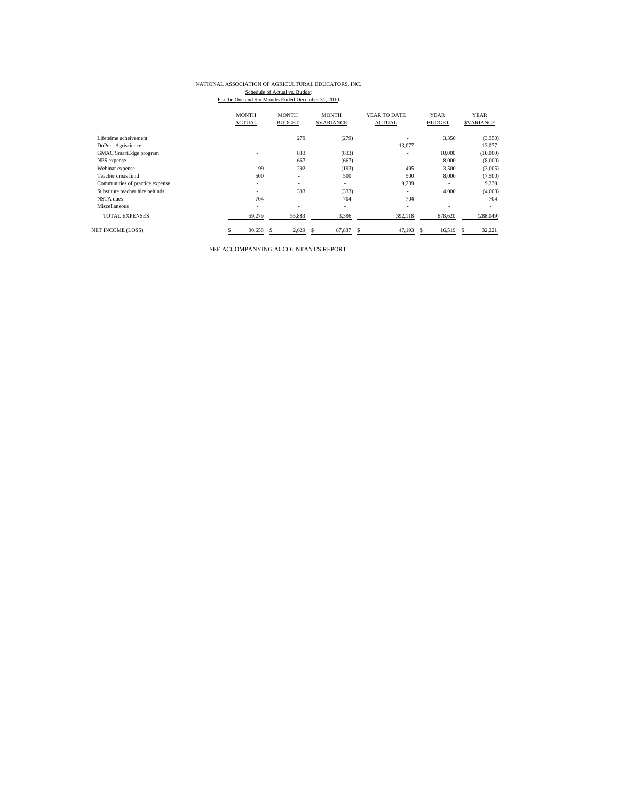# NATIONAL ASSOCIATION OF AGRICULTURAL EDUCATORS, INC.

Schedule of Actual vs. Budget<br>For the One and Six Months Ended December 31, 2010

|                                 | <b>MONTH</b><br><b>ACTUAL</b> | <b>MONTH</b><br><b>BUDGET</b> | <b>MONTH</b><br><b>SVARIANCE</b> | YEAR TO DATE<br><b>ACTUAL</b> | <b>YEAR</b><br><b>BUDGET</b> | <b>YEAR</b><br><b>\$VARIANCE</b> |
|---------------------------------|-------------------------------|-------------------------------|----------------------------------|-------------------------------|------------------------------|----------------------------------|
| Lifeteime acheivement           |                               | 279                           | (279)                            |                               | 3,350                        | (3,350)                          |
| DuPont Agriscience              | $\sim$                        | $\overline{\phantom{a}}$      | $\overline{\phantom{a}}$         | 13,077                        | ۰                            | 13,077                           |
| <b>GMAC</b> SmartEdge program   | $\overline{\phantom{a}}$      | 833                           | (833)                            | ۰                             | 10,000                       | (10,000)                         |
| NPS expense                     |                               | 667                           | (667)                            | ۰                             | 8,000                        | (8,000)                          |
| Webinar expense                 | 99                            | 292                           | (193)                            | 495                           | 3,500                        | (3,005)                          |
| Teacher crisis fund             | 500                           | ٠                             | 500                              | 500                           | 8,000                        | (7,500)                          |
| Communities of practice expense | $\overline{\phantom{a}}$      | ٠                             | $\overline{\phantom{a}}$         | 9,239                         | $\overline{\phantom{a}}$     | 9,239                            |
| Substitute teacher hire behinds | $\overline{\phantom{a}}$      | 333                           | (333)                            | ۰                             | 4,000                        | (4,000)                          |
| NSTA dues                       | 704                           | ٠                             | 704                              | 704                           | ٠                            | 704                              |
| Miscellaneous                   | $\overline{\phantom{a}}$      | ٠                             | $\overline{\phantom{a}}$         | ٠                             | $\overline{\phantom{a}}$     | ۰                                |
| <b>TOTAL EXPENSES</b>           | 59,279                        | 55,883                        | 3,396                            | 392,118                       | 678,620                      | (288, 049)                       |
| <b>NET INCOME (LOSS)</b>        | 90,658                        | 2,629                         | 87,837                           | 47,193<br>\$.                 | 16,519                       | 32,221                           |

SEE ACCOMPANYING ACCOUNTANT'S REPORT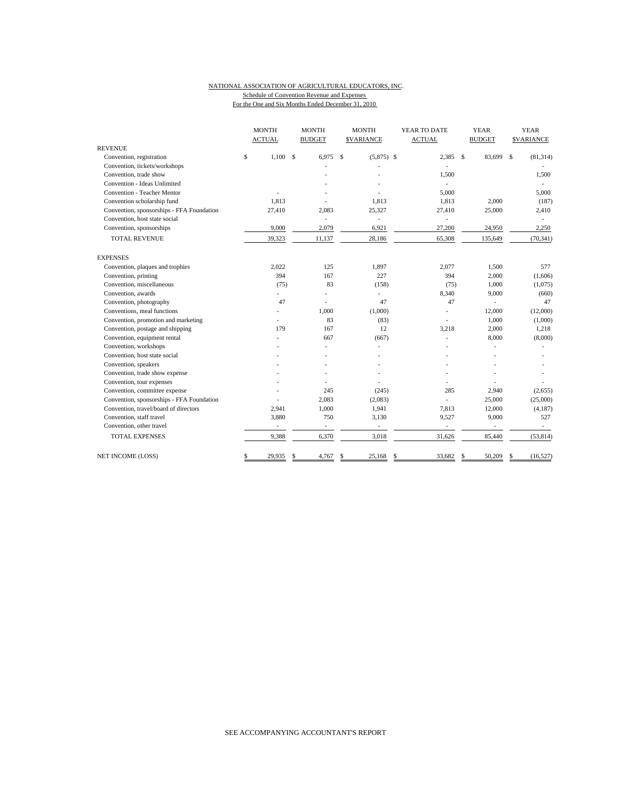### NATIONAL ASSOCIATION OF AGRICULTURAL EDUCATORS, INC. Schedule of Convention Revenue and Expenses

For the One and Six Months Ended December 31, 2010

|                                                                            | <b>MONTH</b>  |             | <b>MONTH</b>            |    | <b>MONTH</b>             | YEAR TO DATE             |              | <b>YEAR</b>   |              | <b>YEAR</b>              |
|----------------------------------------------------------------------------|---------------|-------------|-------------------------|----|--------------------------|--------------------------|--------------|---------------|--------------|--------------------------|
| <b>REVENUE</b>                                                             | <b>ACTUAL</b> |             | <b>BUDGET</b>           |    | <b>SVARIANCE</b>         | <b>ACTUAL</b>            |              | <b>BUDGET</b> |              | <b>\$VARIANCE</b>        |
| Convention, registration                                                   | \$<br>1,100   | $\mathbf S$ | 6,975                   | S  | $(5,875)$ \$             | 2,385                    | $\mathbf{s}$ | 83,699        | $\mathbf{s}$ | (81, 314)                |
| Convention, tickets/workshops                                              |               |             |                         |    |                          |                          |              |               |              |                          |
| Convention, trade show                                                     |               |             |                         |    |                          | 1,500                    |              |               |              | 1,500                    |
| Convention - Ideas Unlimited                                               |               |             |                         |    |                          |                          |              |               |              |                          |
| Convention - Teacher Mentor                                                |               |             |                         |    |                          | 5,000                    |              |               |              | 5,000                    |
| Convention scholarship fund                                                | 1,813         |             |                         |    | 1.813                    | 1,813                    |              | 2,000         |              | (187)                    |
|                                                                            |               |             |                         |    |                          |                          |              |               |              |                          |
| Convention, sponsorships - FFA Foundation<br>Convention, host state social | 27,410        |             | 2,083                   |    | 25,327                   | 27,410                   |              | 25,000        |              | 2,410                    |
|                                                                            | 9,000         |             | $\overline{a}$<br>2,079 |    | 6,921                    |                          |              |               |              | 2,250                    |
| Convention, sponsorships                                                   |               |             |                         |    |                          | 27,200                   |              | 24,950        |              |                          |
| <b>TOTAL REVENUE</b>                                                       | 39,323        |             | 11,137                  |    | 28,186                   | 65,308                   |              | 135,649       |              | (70, 341)                |
| <b>EXPENSES</b>                                                            |               |             |                         |    |                          |                          |              |               |              |                          |
| Convention, plaques and trophies                                           | 2,022         |             | 125                     |    | 1,897                    | 2,077                    |              | 1,500         |              | 577                      |
| Convention, printing                                                       | 394           |             | 167                     |    | 227                      | 394                      |              | 2,000         |              | (1,606)                  |
| Convention, miscellaneous                                                  | (75)          |             | 83                      |    | (158)                    | (75)                     |              | 1,000         |              | (1,075)                  |
| Convention, awards                                                         |               |             |                         |    | ÷,                       | 8,340                    |              | 9,000         |              | (660)                    |
| Convention, photography                                                    | 47            |             | L,                      |    | 47                       | 47                       |              | ä,            |              | 47                       |
| Conventions, meal functions                                                |               |             | 1,000                   |    | (1,000)                  |                          |              | 12,000        |              | (12,000)                 |
| Convention, promotion and marketing                                        |               |             | 83                      |    | (83)                     |                          |              | 1,000         |              | (1,000)                  |
| Convention, postage and shipping                                           | 179           |             | 167                     |    | 12                       | 3,218                    |              | 2,000         |              | 1,218                    |
| Convention, equipment rental                                               |               |             | 667                     |    | (667)                    | ä,                       |              | 8,000         |              | (8,000)                  |
| Convention, workshops                                                      |               |             |                         |    |                          |                          |              | ä,            |              |                          |
| Convention, host state social                                              |               |             |                         |    |                          |                          |              |               |              |                          |
| Convention, speakers                                                       |               |             |                         |    |                          |                          |              |               |              |                          |
| Convention, trade show expense                                             |               |             |                         |    |                          |                          |              |               |              |                          |
| Convention, tour expenses                                                  |               |             |                         |    |                          |                          |              |               |              |                          |
| Convention, committee expense                                              |               |             | 245                     |    | (245)                    | 285                      |              | 2,940         |              | (2,655)                  |
| Convention, sponsorships - FFA Foundation                                  |               |             | 2,083                   |    | (2,083)                  |                          |              | 25,000        |              | (25,000)                 |
| Convention, travel/board of directors                                      | 2,941         |             | 1,000                   |    | 1,941                    | 7,813                    |              | 12,000        |              | (4,187)                  |
| Convention, staff travel                                                   | 3,880         |             | 750                     |    | 3,130                    | 9,527                    |              | 9,000         |              | 527                      |
| Convention, other travel                                                   |               |             | $\frac{1}{2}$           |    | $\overline{\phantom{a}}$ | $\overline{\phantom{m}}$ |              |               |              | $\overline{\phantom{a}}$ |
| <b>TOTAL EXPENSES</b>                                                      | 9,388         |             | 6,370                   |    | 3,018                    | 31,626                   |              | 85,440        |              | (53, 814)                |
| <b>NET INCOME (LOSS)</b>                                                   | \$<br>29,935  | \$          | 4,767                   | \$ | 25,168                   | \$<br>33,682             | \$           | 50,209        | \$           | (16, 527)                |